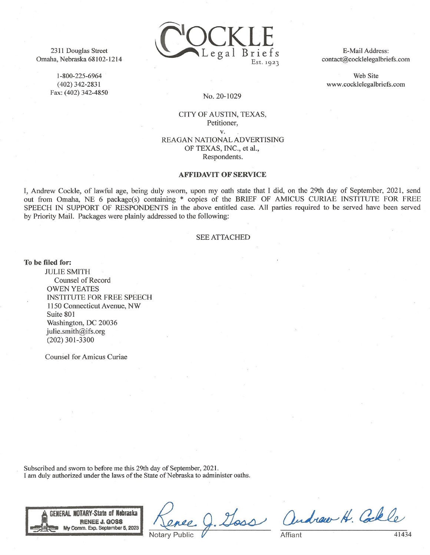2311 Douglas Street Omaha, Nebraska 68102-1214

1-800-225-6964

 $(402)$  342-2831

Fax: (402) 342-4850



E-Mail Address: contact@cocklelegalbriefs.com

Web Site www.cocklelegalbriefs.com

### No. 20-1029

CITY OF AUSTIN, TEXAS, Petitioner, V. REAGAN NATIONAL ADVERTISING OF TEXAS, INC., et al., Respondents.

### **AFFIDAVIT OF SERVICE**

I, Andrew Cockle, of lawful age, being duly sworn, upon my oath state that I did, on the 29th day of September, 2021, send out from Omaha, NE 6 package(s) containing \* copies of the BRIEF OF AMICUS CURIAE INSTITUTE FOR FREE SPEECH IN SUPPORT OF RESPONDENTS in the above entitled case. All parties required to be served have been served by Priority Mail. Packages were plainly addressed to the following:

### **SEE ATTACHED**

To be filed for:

**JULIE SMITH** Counsel of Record **OWEN YEATES INSTITUTE FOR FREE SPEECH** 1150 Connecticut Avenue, NW Suite 801 Washington, DC 20036 julie.smith@ifs.org  $(202)$  301-3300

**Counsel for Amicus Curiae** 

Subscribed and sworn to before me this 29th day of September, 2021. I am duly authorized under the laws of the State of Nebraska to administer oaths.



Goss andrew H. Colle

Affiant

41434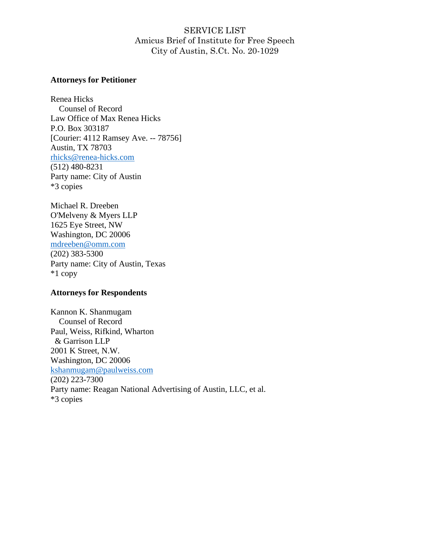# SERVICE LIST Amicus Brief of Institute for Free Speech City of Austin, S.Ct. No. 20-1029

### **Attorneys for Petitioner**

Renea Hicks Counsel of Record Law Office of Max Renea Hicks P.O. Box 303187 [Courier: 4112 Ramsey Ave. -- 78756] Austin, TX 78703 [rhicks@renea-hicks.com](mailto:rhicks@renea-hicks.com) (512) 480-8231 Party name: City of Austin \*3 copies

Michael R. Dreeben O'Melveny & Myers LLP 1625 Eye Street, NW Washington, DC 20006 [mdreeben@omm.com](mailto:mdreeben@omm.com) (202) 383-5300 Party name: City of Austin, Texas \*1 copy

## **Attorneys for Respondents**

Kannon K. Shanmugam Counsel of Record Paul, Weiss, Rifkind, Wharton & Garrison LLP 2001 K Street, N.W. Washington, DC 20006 [kshanmugam@paulweiss.com](mailto:kshanmugam@paulweiss.com) (202) 223-7300 Party name: Reagan National Advertising of Austin, LLC, et al. \*3 copies